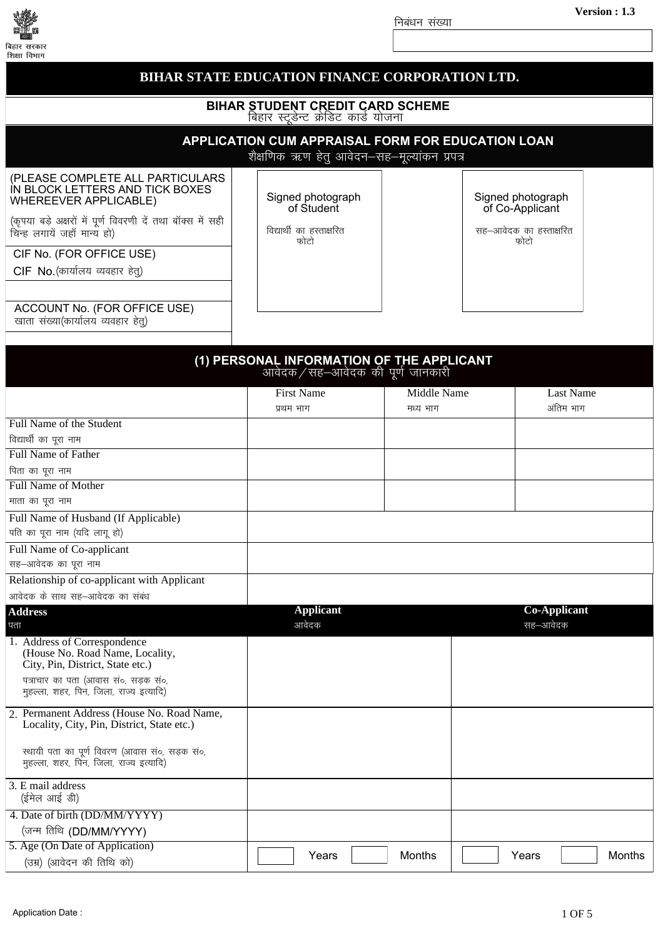

## BIHAR STATE EDUCATION FINANCE CORPORATION LTD. **BIHAR STUDENT CREDIT CARD SCHEME** बिहार स्ट्डेन्ट क्रेडिट कार्ड योजना **APPLICATION CUM APPRAISAL FORM FOR EDUCATION LOAN** शैक्षणिक ऋण हेतु आवेदन–सह–मूल्यांकन प्रपत्र (PLEASE COMPLETE ALL PARTICULARS IN BLOCK LETTERS AND TICK BOXES Signed photograph Signed photograph WHEREEVER APPLICABLE) of Student of Co-Applicant (कृपया बड़े अक्षरों में पूर्ण विवरणी दें तथा बॉक्स में सही विद्यार्थी का हस्ताक्षरित सह-आवेदक का हस्ताक्षरित चिन्ह लगायें जहाँ मान्य हो) फोटो फोटो CIF No. (FOR OFFICE USE) CIF No. (कार्यालय व्यवहार हेत्) ACCOUNT No. (FOR OFFICE USE) खाता संख्या(कार्यालय व्यवहार हेत्) (1) PERSONAL INFORMATION OF THE APPLICANT आवेदक ⁄ सह—आवेदक की पर्ण जानकारी Middle Name **Last Name First Name** अंतिम भाग मध्य भाग प्रथम भाग Full Name of the Student विद्यार्थी का पूरा नाम Full Name of Father पिता का पूरा नाम **Full Name of Mother** माता का पूरा नाम Full Name of Husband (If Applicable) पति का पुरा नाम (यदि लागू हो) **Full Name of Co-applicant** सह-आवेदक का पूरा नाम Relationship of co-applicant with Applicant आवेदक के साथ सह—आवेदक का संबंध **Applicant Address Co-Applicant** पता आवेदक सह—आवेदक 1. Address of Correspondence (House No. Road Name, Locality, City, Pin, District, State etc.) पत्राचार का पता (आवास सं०, सड़क सं०, महल्ला, शहर, पिन, जिला, राज्य इत्यादि) 2. Permanent Address (House No. Road Name, Locality, City, Pin, District, State etc.) स्थायी पता का पूर्ण विवरण (आवास सं०, सड़क सं०, महल्ला, शहर, पिन, जिला, राज्य इत्यादि) 3. E mail address (ईमेल आई डी) 4. Date of birth (DD/MM/YYYY) (जन्म तिथि (DD/MM/YYYY) 5. Age (On Date of Application) Months Years **Months** Years (उम्र) (आवेदन की तिथि को)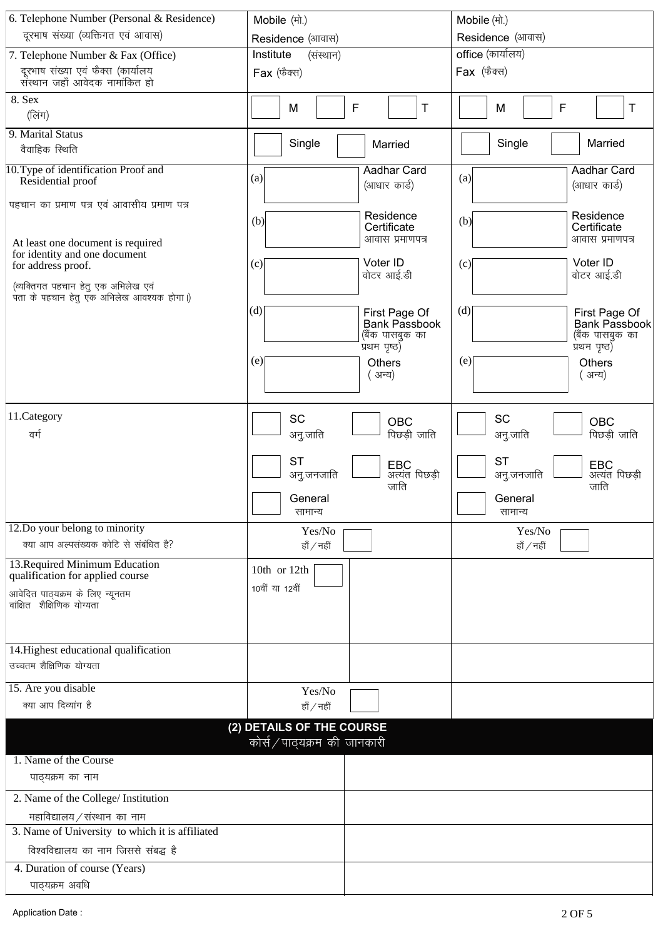| 6. Telephone Number (Personal & Residence)                         | Mobile (मो.)                              | Mobile (मो.)                              |  |
|--------------------------------------------------------------------|-------------------------------------------|-------------------------------------------|--|
| दूरभाष संख्या (व्यक्तिगत एवं आवास)                                 | Residence (आवास)                          | Residence (आवास)                          |  |
| 7. Telephone Number & Fax (Office)                                 | Institute<br>(संस्थान)                    | office (कार्यालय)                         |  |
| दूरभाष संख्या एवं फैक्स (कार्यालय                                  | $Fax$ (फैक्स)                             | $Fax$ (फैक्स)                             |  |
| संस्थान जहाँ आवेदक नामांकित हो                                     |                                           |                                           |  |
| 8. Sex                                                             | F<br>M<br>Τ                               | F<br>Τ<br>M                               |  |
| (लिंग)                                                             |                                           |                                           |  |
| 9. Marital Status<br>वैवाहिक स्थिति                                | Single<br>Married                         | Single<br>Married                         |  |
|                                                                    |                                           |                                           |  |
| 10. Type of identification Proof and<br>Residential proof          | <b>Aadhar Card</b><br>(a)<br>(आधार कार्ड) | <b>Aadhar Card</b><br>(a)<br>(आधार कार्ड) |  |
| पहचान का प्रमाण पत्र एवं आवासीय प्रमाण पत्र                        |                                           |                                           |  |
|                                                                    | Residence<br>(b)<br>Certificate           | Residence<br>(b)<br>Certificate           |  |
| At least one document is required                                  | आवास प्रमाणपत्र                           | आवास प्रमाणपत्र                           |  |
| for identity and one document                                      | Voter ID                                  | Voter ID                                  |  |
| for address proof.                                                 | (c)<br>वोटर आई.डी                         | (c)<br>वोटर आई.डी                         |  |
| (व्यक्तिगत पहचान हेतु एक अभिलेख एवं                                |                                           |                                           |  |
| पंता के पहचान हेतु एक अभिलेख आवश्यक होगा।)                         | (d)<br>First Page Of                      | (d)<br>First Page Of                      |  |
|                                                                    | <b>Bank Passbook</b>                      | <b>Bank Passbook</b>                      |  |
|                                                                    | (बैंक पासबुक का<br>प्रथम पृष्ठ)           | (बैंक पासबुक का<br>प्रथम पृष्ठ)           |  |
|                                                                    | (e)<br><b>Others</b>                      | (e)<br><b>Others</b>                      |  |
|                                                                    | ( अन्य)                                   | ( अन्य)                                   |  |
|                                                                    |                                           |                                           |  |
|                                                                    |                                           |                                           |  |
| 11.Category                                                        | SC<br>OBC                                 | <b>SC</b><br>OBC                          |  |
| वर्ग                                                               | पिछड़ी जाति<br>अनु.जाति                   | पिछड़ी जाति<br>अनु.जाति                   |  |
|                                                                    | <b>ST</b><br>EBC                          | <b>ST</b><br>EBC                          |  |
|                                                                    | अत्यंत पिछड़ी<br>अनु.जनजाति               | अत्यंत पिछड़ी<br>अनु.जनजाति               |  |
|                                                                    | जाति<br>General                           | जाति<br>General                           |  |
|                                                                    | सामान्य                                   | सामान्य                                   |  |
| 12.Do your belong to minority                                      | Yes/No                                    | Yes/No                                    |  |
| क्या आप अल्पसंख्यक कोटि से संबंधित है?                             | हाँ / नहीं                                | हाँ / नहीं                                |  |
| 13. Required Minimum Education<br>qualification for applied course | 10th or 12th                              |                                           |  |
| आवेदित पाठ्यक्रम के लिए न्यूनतम                                    | 10वीं या 12वीं                            |                                           |  |
| वांक्षित शैक्षिणिक योग्यता                                         |                                           |                                           |  |
|                                                                    |                                           |                                           |  |
| 14. Highest educational qualification                              |                                           |                                           |  |
| उच्चतम शैक्षिणिक योग्यता                                           |                                           |                                           |  |
|                                                                    |                                           |                                           |  |
| 15. Are you disable                                                | Yes/No                                    |                                           |  |
| क्या आप दिव्यांग है                                                | हाँ / नहीं                                |                                           |  |
|                                                                    | (2) DETAILS OF THE COURSE                 |                                           |  |
|                                                                    | कोर्स/पाठ्यक्रम की जानकारी                |                                           |  |
| 1. Name of the Course                                              |                                           |                                           |  |
| पाठ्यक्रम का नाम                                                   |                                           |                                           |  |
| 2. Name of the College/ Institution                                |                                           |                                           |  |
| महाविद्यालय / संस्थान का नाम                                       |                                           |                                           |  |
| 3. Name of University to which it is affiliated                    |                                           |                                           |  |
| विश्वविद्यालय का नाम जिससे संबद्ध है                               |                                           |                                           |  |
| 4. Duration of course (Years)                                      |                                           |                                           |  |
| पाठ्यक्रम अवधि                                                     |                                           |                                           |  |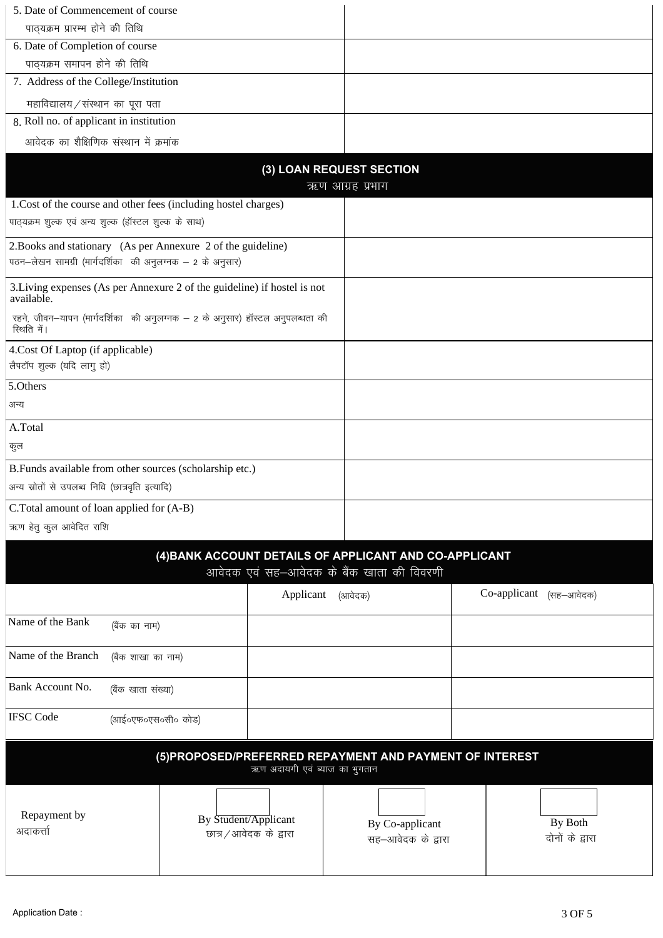| 5. Date of Commencement of course                                                           |                                                          |  |  |  |
|---------------------------------------------------------------------------------------------|----------------------------------------------------------|--|--|--|
| पाठ्यक्रम प्रारम्भ होने की तिथि                                                             |                                                          |  |  |  |
| 6. Date of Completion of course                                                             |                                                          |  |  |  |
| पाठ्यक्रम समापन होने की तिथि                                                                |                                                          |  |  |  |
| 7. Address of the College/Institution                                                       |                                                          |  |  |  |
| महाविद्यालय/संस्थान का पूरा पता                                                             |                                                          |  |  |  |
| 8. Roll no. of applicant in institution                                                     |                                                          |  |  |  |
| आवेदक का शैक्षिणिक संस्थान में क्रमांक                                                      |                                                          |  |  |  |
|                                                                                             |                                                          |  |  |  |
| (3) LOAN REQUEST SECTION                                                                    | ऋण आग्रह प्रभाग                                          |  |  |  |
| 1. Cost of the course and other fees (including hostel charges)                             |                                                          |  |  |  |
| पाठ्यक्रम शुल्क एवं अन्य शुल्क (हॉस्टल शुल्क के साथ)                                        |                                                          |  |  |  |
|                                                                                             |                                                          |  |  |  |
| 2. Books and stationary (As per Annexure 2 of the guideline)                                |                                                          |  |  |  |
| पठन-लेखन सामग्री (मार्गदर्शिका की अनुलग्नक - 2 के अनुसार)                                   |                                                          |  |  |  |
| 3. Living expenses (As per Annexure 2 of the guideline) if hostel is not<br>available.      |                                                          |  |  |  |
| रहने, जीवन-यापन (मार्गदर्शिका की अनुलग्नक - 2 के अनुसार) हॉस्टल अनुपलब्धता की<br>रिथति में। |                                                          |  |  |  |
| 4. Cost Of Laptop (if applicable)                                                           |                                                          |  |  |  |
| लैपटॉप शुल्क (यदि लागु हो)                                                                  |                                                          |  |  |  |
| 5.Others                                                                                    |                                                          |  |  |  |
| अन्य                                                                                        |                                                          |  |  |  |
| A.Total                                                                                     |                                                          |  |  |  |
| कुल                                                                                         |                                                          |  |  |  |
| B.Funds available from other sources (scholarship etc.)                                     |                                                          |  |  |  |
| अन्य स्रोतों से उपलब्ध निधि (छात्रवृति इत्यादि)                                             |                                                          |  |  |  |
| C.Total amount of loan applied for (A-B)                                                    |                                                          |  |  |  |
| ऋण हेतु कुल आवेदित राशि                                                                     |                                                          |  |  |  |
|                                                                                             |                                                          |  |  |  |
| (4) BANK ACCOUNT DETAILS OF APPLICANT AND CO-APPLICANT                                      |                                                          |  |  |  |
| आवेदक एवं सह-आवेदक के बैंक खाता की विवरणी                                                   |                                                          |  |  |  |
| Applicant                                                                                   | Co-applicant (सह-आवेदक)<br>(आवेदक)                       |  |  |  |
| Name of the Bank                                                                            |                                                          |  |  |  |
| (बैंक का नाम)                                                                               |                                                          |  |  |  |
| Name of the Branch<br>(बैंक शाखा का नाम)                                                    |                                                          |  |  |  |
| Bank Account No.<br>(बैंक खाता संख्या)                                                      |                                                          |  |  |  |
| <b>IFSC</b> Code<br>(आई०एफ०एस०सी० कोड)                                                      |                                                          |  |  |  |
|                                                                                             |                                                          |  |  |  |
| ऋण अदायगी एवं ब्याज का भुगतान                                                               | (5) PROPOSED/PREFERRED REPAYMENT AND PAYMENT OF INTEREST |  |  |  |
|                                                                                             |                                                          |  |  |  |
|                                                                                             |                                                          |  |  |  |
| Repayment by<br>By Student/Applicant<br>अदाकर्त्ता                                          | By Both<br>By Co-applicant                               |  |  |  |
| छात्र / आवेदक के द्वारा                                                                     | दोनों के द्वारा<br>सह—आवेदक के द्वारा                    |  |  |  |
|                                                                                             |                                                          |  |  |  |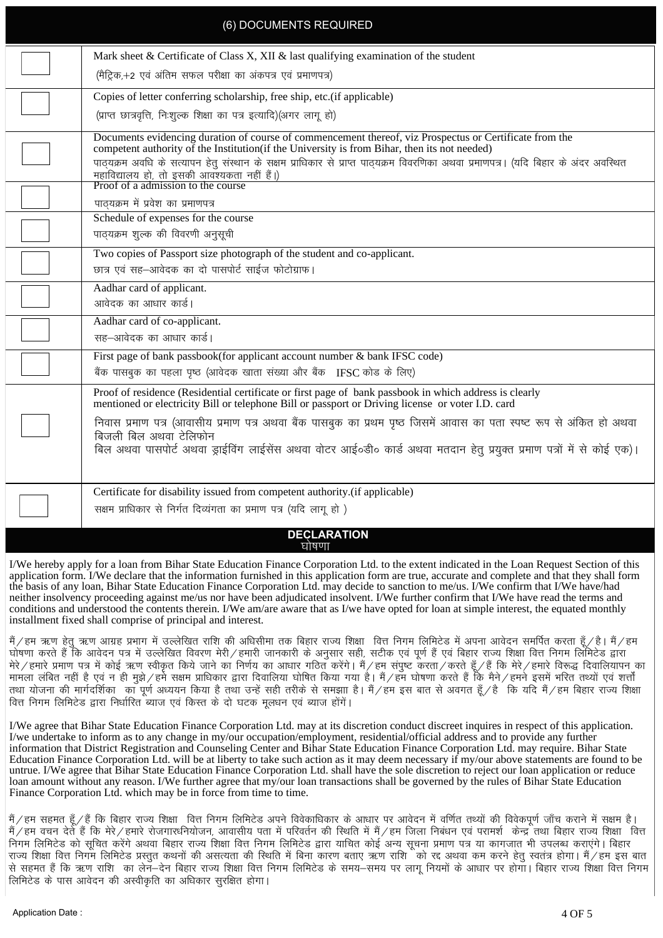| (6) DOCUMENTS REQUIRED                                                                                                                                                                                      |
|-------------------------------------------------------------------------------------------------------------------------------------------------------------------------------------------------------------|
| Mark sheet & Certificate of Class X, XII & last qualifying examination of the student                                                                                                                       |
| (मैट्रिक,+2 एवं अंतिम सफल परीक्षा का अंकपत्र एवं प्रमाणपत्र)                                                                                                                                                |
| Copies of letter conferring scholarship, free ship, etc.(if applicable)                                                                                                                                     |
| (प्राप्त छात्रवृत्ति, निःशुल्क शिक्षा का पत्र इत्यादि)(अगर लागू हो)                                                                                                                                         |
| Documents evidencing duration of course of commencement thereof, viz Prospectus or Certificate from the<br>competent authority of the Institution (if the University is from Bihar, then its not needed)    |
| पाठ्यक्रम अवधि के सत्यापन हेतु संस्थान के सक्षम प्राधिकार से प्राप्त पाठ्यक्रम विवरणिका अथवा प्रमाणपत्र। (यदि बिहार के अंदर अवस्थित                                                                         |
| महाविद्यालय हो, तो इसकी आवश्यकता नहीं हैं।)<br>Proof of a admission to the course                                                                                                                           |
| पाठ्यक्रम में प्रवेश का प्रमाणपत्र                                                                                                                                                                          |
| Schedule of expenses for the course                                                                                                                                                                         |
| पाठ्यक्रम शुल्क की विवरणी अनुसूची                                                                                                                                                                           |
| Two copies of Passport size photograph of the student and co-applicant.<br>छात्र एवं सह-आवेदक का दो पासपोर्ट साईज फोटोग्राफ।                                                                                |
| Aadhar card of applicant.                                                                                                                                                                                   |
| आवेदक का आधार कार्ड।                                                                                                                                                                                        |
| Aadhar card of co-applicant.                                                                                                                                                                                |
| सह-आवेदक का आधार कार्ड।                                                                                                                                                                                     |
| First page of bank passbook(for applicant account number & bank IFSC code)                                                                                                                                  |
| बैंक पासबुक का पहला पृष्ठ (आवेदक खाता संख्या और बैंक IFSC कोड के लिए)                                                                                                                                       |
| Proof of residence (Residential certificate or first page of bank passbook in which address is clearly<br>mentioned or electricity Bill or telephone Bill or passport or Driving license or voter I.D. card |
| निवास प्रमाण पत्र (आवासीय प्रमाण पत्र अथवा बैंक पासबुक का प्रथम पृष्ठ जिसमें आवास का पता स्पष्ट रूप से अंकित हो अथवा                                                                                        |
| बिजली बिल अथवा टेलिफोन<br>बिल अथवा पासपोर्ट अथवा ड्राईविंग लाईसेंस अथवा वोटर आई०डी० कार्ड अथवा मतदान हेतु प्रयुक्त प्रमाण पत्रों में से कोई एक)।                                                            |
|                                                                                                                                                                                                             |
| Certificate for disability issued from competent authority.(if applicable)                                                                                                                                  |
| सक्षम प्राधिकार से निर्गत दिव्यंगता का प्रमाण पत्र (यदि लागू हो )                                                                                                                                           |
| <b>DECLARATION</b>                                                                                                                                                                                          |
| घोषणा                                                                                                                                                                                                       |

I/We hereby apply for a loan from Bihar State Education Finance Corporation Ltd. to the extent indicated in the Loan Request Section of this application form. I/We declare that the information furnished in this application form are true, accurate and complete and that they shall form the basis of any loan, Bihar State Education Finance Corporation Ltd. may decide to sanction to me/us. I/We confirm that I/We have/had neither insolvency proceeding against me/us nor have been adjudicated insolvent. I/We further confirm that I/We have read the terms and conditions and understood the contents therein. I/We am/are aware that as I/we have opted for loan at simple interest, the equated monthly installment fixed shall comprise of principal and interest.

मैं/हम ऋण हेत ऋण आग्रह प्रभाग में उल्लेखित राशि की अधिसीमा तक बिहार राज्य शिक्षा वित्त निगम लिमिटेड में अपना आवेदन समर्पित करता हँ/है। मैं/हम घोषणा करते हैं कि आवेदन पत्र में उल्लेखित विवरण मेरी/हमारी जानकारी के अनुसार सही, सटीक एवं पूर्ण हैं एवं बिहार राज्य शिक्षा वित्त निगम लिमिटेड द्वारा esjs@gekjs çek.k i= esa dksbZ \_.k Loh—r fd;s tkus dk fu.kZ; dk vk/kkj xfBr djsaxsA eSa@ge laiq"V djrk@djrs gw¡@gSa fd esjs@gekjs fo:) fnokfy;kiu dk ekeya mana gama ganci da ganci ya ke yafa ganci ya kan gestifik fino ke ke ke ganci aka ku ganci ke ke ya ke k<br>Tike di ke di ke di ke disa fara terketa ke di kesama ke di yang disa terkil ya ku ku ko di koka kon di kon di तथा योजना की मार्गदर्शिका का पूर्ण अध्ययन किया है तथा उन्हें सही तरीके से समझाा है। मैं /हम बात से अवगत हूँ /है कि यदि मैं /हम बिहार राज्य शिक्षा <u>वित्त निगम लिमिटेड द्वारा निर्धारित ब्याज एवं किस्त के दो घटक मलधन एवं ब्याज होंगें।</u>

I/We agree that Bihar State Education Finance Corporation Ltd. may at its discretion conduct discreet inquires in respect of this application. I/we undertake to inform as to any change in my/our occupation/employment, residential/official address and to provide any further information that District Registration and Counseling Center and Bihar State Education Finance Corporation Ltd. may require. Bihar State Education Finance Corporation Ltd. will be at liberty to take such action as it may deem necessary if my/our above statements are found to be untrue. I/We agree that Bihar State Education Finance Corporation Ltd. shall have the sole discretion to reject our loan application or reduce loan amount without any reason. I/We further agree that my/our loan transactions shall be governed by the rules of Bihar State Education Finance Corporation Ltd. which may be in force from time to time.

मैं∕हम सहमत हँ⁄हैं कि बिहार राज्य शिक्षा वित्त निगम लिमिटेड अपने विवेकाधिकार के आधार पर आवेदन में वर्णित तथ्यों की विवेकपूर्ण जाँच कराने में सक्षम है। मैं/हम वचन देते हैं कि मेरे/हमारे रोजगारधनियोजन, आवासीय पता में परिवर्तन की स्थिति में मैं/हम जिला निबंधन एवं परामर्श केन्द्र तथा बिहार राज्य शिक्षा वित्त निगम लिमिटेड को सूचित करेंगे अथवा बिहार राज्य शिक्षा वित्त निगम लिमिटेड द्वारा याचित कोई अन्य सूचना प्रमाण पत्र या कागजात भी उपलब्ध कराएंगे। बिहार राज्य शिक्षा वित्त निगम लिमिटेड प्रस्तुत कथनों की असत्यता की स्थिति में बिना कारण बताए ऋण राशि को रद्द अथवा कम करने हेतु स्वतंत्र होगा। मैं/हम इस बात से सहमत हैं कि ऋण राशि का लेन-देन बिहार राज्य शिक्षा वित्त निगम लिमिटेड के समय-समय पर लागू नियमों के आधार पर होगा। बिहार राज्य शिक्षा वित्त निगम लिमिटेड के पास आवेदन की अस्वीकृति का अधिकार सुरक्षित होगा।